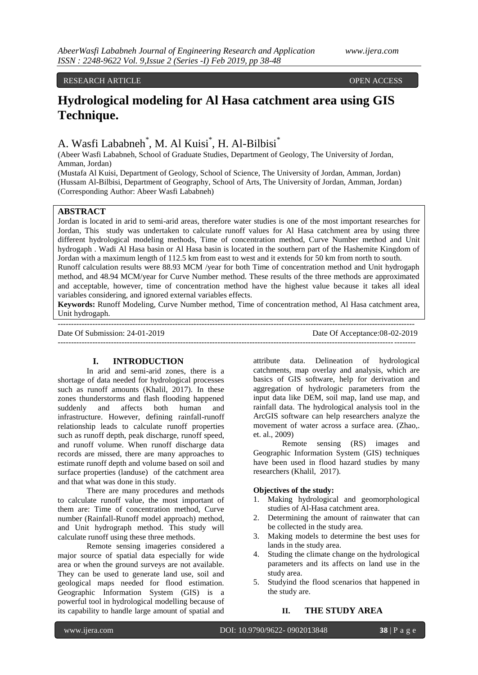## RESEARCH ARTICLE OPEN ACCESS

# **Hydrological modeling for Al Hasa catchment area using GIS Technique.**

# A. Wasfi Lababneh<sup>\*</sup>, M. Al Kuisi<sup>\*</sup>, H. Al-Bilbisi<sup>\*</sup>

(Abeer Wasfi Lababneh, School of Graduate Studies, Department of Geology, The University of Jordan, Amman, Jordan)

(Mustafa Al Kuisi, Department of Geology, School of Science, The University of Jordan, Amman, Jordan) (Hussam Al-Bilbisi, Department of Geography, School of Arts, The University of Jordan, Amman, Jordan) (Corresponding Author: Abeer Wasfi Lababneh)

## **ABSTRACT**

Jordan is located in arid to semi-arid areas, therefore water studies is one of the most important researches for Jordan, This study was undertaken to calculate runoff values for Al Hasa catchment area by using three different hydrological modeling methods, Time of concentration method, Curve Number method and Unit hydrogaph . Wadi Al Hasa basin or Al Hasa basin is located in the southern part of the Hashemite Kingdom of Jordan with a maximum length of 112.5 km from east to west and it extends for 50 km from north to south. Runoff calculation results were 88.93 MCM /year for both Time of concentration method and Unit hydrogaph method, and 48.94 MCM/year for Curve Number method. These results of the three methods are approximated and acceptable, however, time of concentration method have the highest value because it takes all ideal variables considering, and ignored external variables effects.

**Keywords:** Runoff Modeling, Curve Number method, Time of concentration method, Al Hasa catchment area, Unit hydrogaph.

| Date Of Submission: $24-01-2019$ | Date Of Acceptance:08-02-2019 |
|----------------------------------|-------------------------------|
|                                  |                               |

## **I. INTRODUCTION**

In arid and semi-arid zones, there is a shortage of data needed for hydrological processes such as runoff amounts (Khalil, 2017). In these zones thunderstorms and flash flooding happened suddenly and affects both human and infrastructure. However, defining rainfall-runoff relationship leads to calculate runoff properties such as runoff depth, peak discharge, runoff speed, and runoff volume. When runoff discharge data records are missed, there are many approaches to estimate runoff depth and volume based on soil and surface properties (landuse) of the catchment area and that what was done in this study.

There are many procedures and methods to calculate runoff value, the most important of them are: Time of concentration method, Curve number (Rainfall-Runoff model approach) method, and Unit hydrograph method. This study will calculate runoff using these three methods.

Remote sensing imageries considered a major source of spatial data especially for wide area or when the ground surveys are not available. They can be used to generate land use, soil and geological maps needed for flood estimation. Geographic Information System (GIS) is a powerful tool in hydrological modelling because of its capability to handle large amount of spatial and

attribute data. Delineation of hydrological catchments, map overlay and analysis, which are basics of GIS software, help for derivation and aggregation of hydrologic parameters from the input data like DEM, soil map, land use map, and rainfall data. The hydrological analysis tool in the ArcGIS software can help researchers analyze the movement of water across a surface area. (Zhao,. et. al., 2009)

Remote sensing (RS) images and Geographic Information System (GIS) techniques have been used in flood hazard studies by many researchers (Khalil, 2017).

## **Objectives of the study:**

- 1. Making hydrological and geomorphological studies of Al-Hasa catchment area.
- 2. Determining the amount of rainwater that can be collected in the study area.
- 3. Making models to determine the best uses for lands in the study area.
- 4. Studing the climate change on the hydrological parameters and its affects on land use in the study area.
- 5. Studyind the flood scenarios that happened in the study are.

# **II. THE STUDY AREA**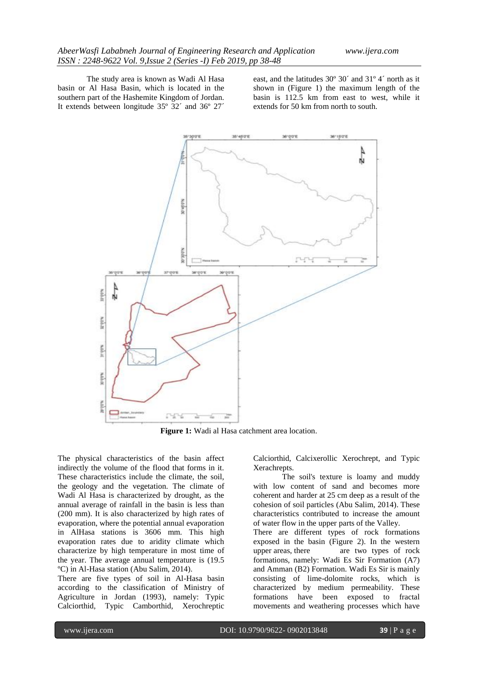The study area is known as Wadi Al Hasa basin or Al Hasa Basin, which is located in the southern part of the Hashemite Kingdom of Jordan. It extends between longitude 35º 32´ and 36º 27´

east, and the latitudes 30º 30´ and 31º 4´ north as it shown in (Figure 1) the maximum length of the basin is 112.5 km from east to west, while it extends for 50 km from north to south.



**Figure 1:** Wadi al Hasa catchment area location.

The physical characteristics of the basin affect indirectly the volume of the flood that forms in it. These characteristics include the climate, the soil, the geology and the vegetation. The climate of Wadi Al Hasa is characterized by drought, as the annual average of rainfall in the basin is less than (200 mm). It is also characterized by high rates of evaporation, where the potential annual evaporation in AlHasa stations is 3606 mm. This high evaporation rates due to aridity climate which characterize by high temperature in most time of the year. The average annual temperature is (19.5 ºC) in Al-Hasa station (Abu Salim, 2014).

There are five types of soil in Al-Hasa basin according to the classification of Ministry of Agriculture in Jordan (1993), namely: Typic Calciorthid, Typic Camborthid, Xerochreptic

Calciorthid, Calcixerollic Xerochrept, and Typic Xerachrepts.

The soil's texture is loamy and muddy with low content of sand and becomes more coherent and harder at 25 cm deep as a result of the cohesion of soil particles (Abu Salim, 2014). These characteristics contributed to increase the amount of water flow in the upper parts of the Valley.

There are different types of rock formations exposed in the basin (Figure 2). In the western upper areas, there are two types of rock formations, namely: Wadi Es Sir Formation (A7) and Amman (B2) Formation. Wadi Es Sir is mainly consisting of lime-dolomite rocks, which is characterized by medium permeability. These formations have been exposed to fractal movements and weathering processes which have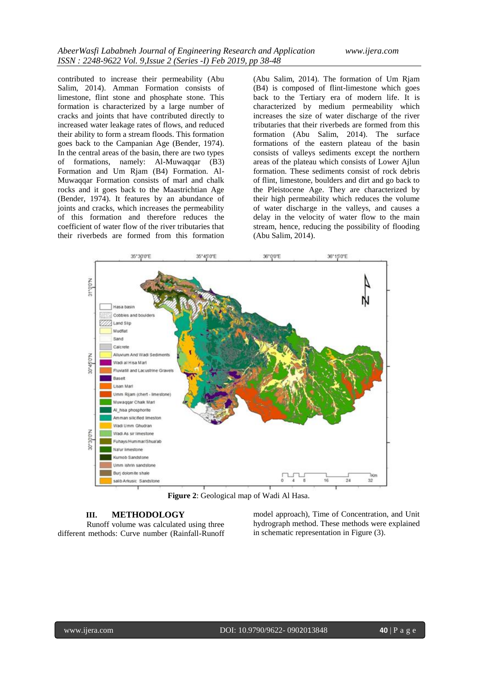contributed to increase their permeability (Abu Salim, 2014). Amman Formation consists of limestone, flint stone and phosphate stone. This formation is characterized by a large number of cracks and joints that have contributed directly to increased water leakage rates of flows, and reduced their ability to form a stream floods. This formation goes back to the Campanian Age (Bender, 1974). In the central areas of the basin, there are two types of formations, namely: Al-Muwaqqar (B3) Formation and Um Rjam (B4) Formation. Al-Muwaqqar Formation consists of marl and chalk rocks and it goes back to the Maastrichtian Age (Bender, 1974). It features by an abundance of joints and cracks, which increases the permeability of this formation and therefore reduces the coefficient of water flow of the river tributaries that their riverbeds are formed from this formation

(Abu Salim, 2014). The formation of Um Rjam (B4) is composed of flint-limestone which goes back to the Tertiary era of modern life. It is characterized by medium permeability which increases the size of water discharge of the river tributaries that their riverbeds are formed from this formation (Abu Salim, 2014). The surface formations of the eastern plateau of the basin consists of valleys sediments except the northern areas of the plateau which consists of Lower Ajlun formation. These sediments consist of rock debris of flint, limestone, boulders and dirt and go back to the Pleistocene Age. They are characterized by their high permeability which reduces the volume of water discharge in the valleys, and causes a delay in the velocity of water flow to the main stream, hence, reducing the possibility of flooding (Abu Salim, 2014).



**Figure 2**: Geological map of Wadi Al Hasa.

## **III. METHODOLOGY**

Runoff volume was calculated using three different methods: Curve number (Rainfall-Runoff model approach), Time of Concentration, and Unit hydrograph method. These methods were explained in schematic representation in Figure (3).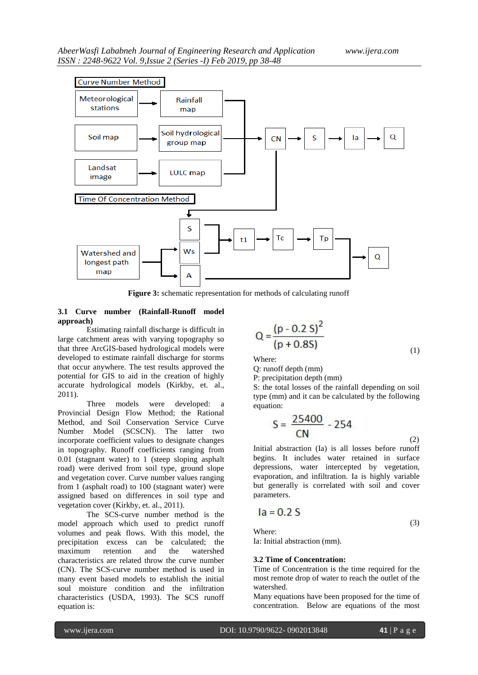

**Figure 3:** schematic representation for methods of calculating runoff

## **3.1 Curve number (Rainfall-Runoff model approach)**

Estimating rainfall discharge is difficult in large catchment areas with varying topography so that three ArcGIS-based hydrological models were developed to estimate rainfall discharge for storms that occur anywhere. The test results approved the potential for GIS to aid in the creation of highly accurate hydrological models (Kirkby, et. al., 2011).

Three models were developed: a Provincial Design Flow Method; the Rational Method, and Soil Conservation Service Curve Number Model (SCSCN). The latter two incorporate coefficient values to designate changes in topography. Runoff coefficients ranging from 0.01 (stagnant water) to 1 (steep sloping asphalt road) were derived from soil type, ground slope and vegetation cover. Curve number values ranging from 1 (asphalt road) to 100 (stagnant water) were assigned based on differences in soil type and vegetation cover (Kirkby, et. al., 2011).

The SCS-curve number method is the model approach which used to predict runoff volumes and peak flows. With this model, the precipitation excess can be calculated; the maximum retention and the watershed characteristics are related throw the curve number (CN). The SCS-curve number method is used in many event based models to establish the initial soul moisture condition and the infiltration characteristics (USDA, 1993). The SCS runoff equation is:

$$
Q = \frac{(p - 0.2 S)^{2}}{(p + 0.8S)}
$$
 (1)

Where:

Q: runoff depth (mm)

P: precipitation depth (mm)

S: the total losses of the rainfall depending on soil type (mm) and it can be calculated by the following equation:

$$
S = \frac{25400}{CN} - 254
$$
 (2)

Initial abstraction (Ia) is all losses before runoff begins. It includes water retained in surface depressions, water intercepted by vegetation, evaporation, and infiltration. Ia is highly variable but generally is correlated with soil and cover parameters.

$$
Ia = 0.2 S
$$

Where:

(3)

Ia: Initial abstraction (mm).

#### **3.2 Time of Concentration:**

Time of Concentration is the time required for the most remote drop of water to reach the outlet of the watershed.

Many equations have been proposed for the time of concentration. Below are equations of the most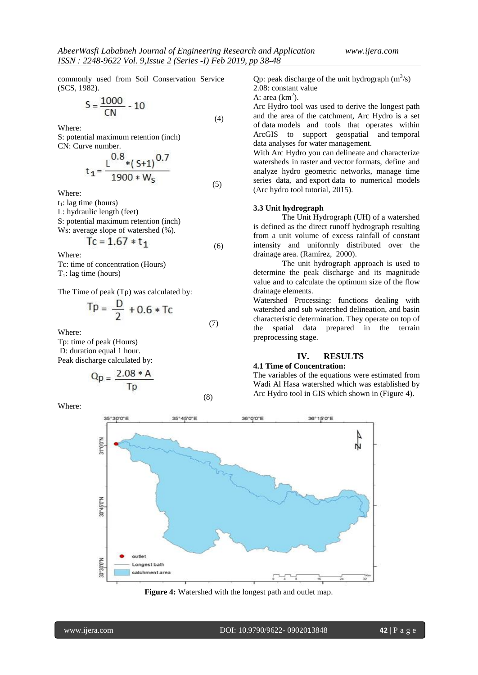commonly used from Soil Conservation Service (SCS, 1982).

$$
S = \frac{1000}{CN} - 10
$$
 (4)

Where:

S: potential maximum retention (inch) CN: Curve number.

$$
t_1 = \frac{L^{0.8} * (S+1)^{0.7}}{1900 * W_S}
$$
 (5)

Where:

 $t_1$ : lag time (hours)

L: hydraulic length (feet)

S: potential maximum retention (inch)

Ws: average slope of watershed  $(\%).$ 

$$
1C = 1.67 * t_1 \tag{6}
$$

Where:

Tc: time of concentration (Hours)  $T_1$ : lag time (hours)

The Time of peak (Tp) was calculated by:

$$
Tp = \frac{D}{2} + 0.6 * Tc
$$
 (7)

Where:

Tp: time of peak (Hours) D: duration equal 1 hour. Peak discharge calculated by:

$$
Q_p = \frac{2.08 \cdot A}{Tp}
$$

Where:

$$
\mathsf{Tp} \tag{8}
$$

Qp: peak discharge of the unit hydrograph  $(m^3/s)$ 

2.08: constant value A: area  $(km^2)$ .

Arc Hydro tool was used to derive the longest path and the area of the catchment, Arc Hydro is a set of data models and tools that operates within ArcGIS to support geospatial and temporal data analyses for water management.

With Arc Hydro you can delineate and characterize watersheds in raster and vector formats, define and analyze hydro geometric networks, manage time series data, and export data to numerical models (Arc hydro tool tutorial, 2015).

#### **3.3 Unit hydrograph**

The Unit Hydrograph (UH) of a watershed is defined as the direct runoff hydrograph resulting from a unit volume of excess rainfall of constant intensity and uniformly distributed over the drainage area. (Ramírez, 2000).

The unit hydrograph approach is used to determine the peak discharge and its magnitude value and to calculate the optimum size of the flow drainage elements.

Watershed Processing: functions dealing with watershed and sub watershed delineation, and basin characteristic determination. They operate on top of the spatial data prepared in the terrain preprocessing stage.

## **IV. RESULTS**

# **4.1 Time of Concentration:**

The variables of the equations were estimated from Wadi Al Hasa watershed which was established by Arc Hydro tool in GIS which shown in (Figure 4).



**Figure 4:** Watershed with the longest path and outlet map.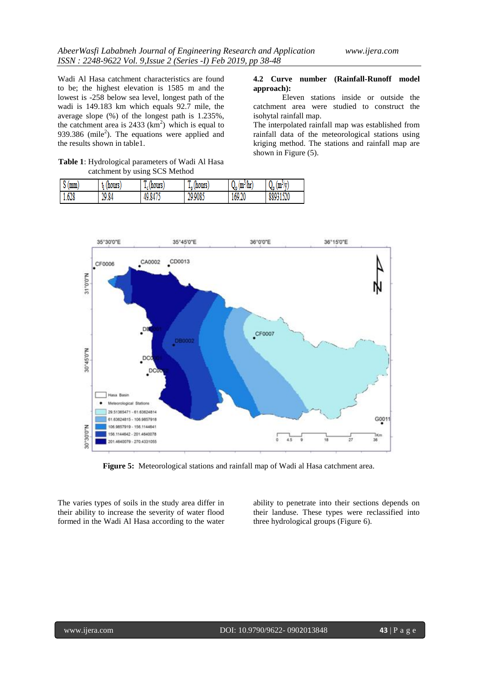**4.2 Curve number (Rainfall-Runoff model** 

catchment area were studied to construct the

The interpolated rainfall map was established from rainfall data of the meteorological stations using kriging method. The stations and rainfall map are

Eleven stations inside or outside the

**approach):**

isohytal rainfall map.

shown in Figure (5).

Wadi Al Hasa catchment characteristics are found to be; the highest elevation is 1585 m and the lowest is -258 below sea level, longest path of the wadi is 149.183 km which equals 92.7 mile, the average slope (%) of the longest path is 1.235%, the catchment area is  $2433 \text{ (km}^2)$  which is equal to 939.386 (mile<sup>2</sup>). The equations were applied and the results shown in table1.

**Table 1**: Hydrological parameters of Wadi Al Hasa catchment by using SCS Method

| mm<br>o v | (hours | $\mathbf{r}$<br>$I_c$ (hours) | (hours<br>÷м | Q,<br>Mц)<br>(m <sup>2</sup> ) | (m <sup>-</sup><br>W<br>Vo |
|-----------|--------|-------------------------------|--------------|--------------------------------|----------------------------|
| 1.628     | 29.84  | 49.8475                       | 29.9085      | 169.20                         | 88931520                   |



**Figure 5:** Meteorological stations and rainfall map of Wadi al Hasa catchment area.

The varies types of soils in the study area differ in their ability to increase the severity of water flood formed in the Wadi Al Hasa according to the water ability to penetrate into their sections depends on their landuse. These types were reclassified into three hydrological groups (Figure 6).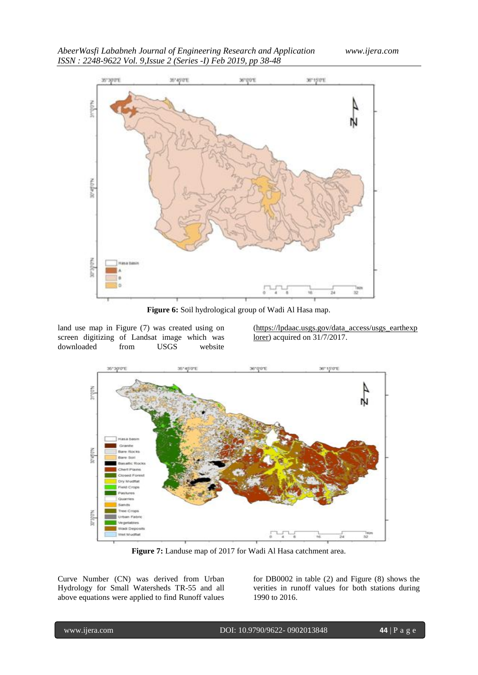*AbeerWasfi Lababneh Journal of Engineering Research and Application www.ijera.com ISSN : 2248-9622 Vol. 9,Issue 2 (Series -I) Feb 2019, pp 38-48*



**Figure 6:** Soil hydrological group of Wadi Al Hasa map.

land use map in Figure (7) was created using on screen digitizing of Landsat image which was downloaded from USGS website

[\(https://lpdaac.usgs.gov/data\\_access/usgs\\_earthexp](https://lpdaac.usgs.gov/data_access/usgs_earthexplorer) [lorer\)](https://lpdaac.usgs.gov/data_access/usgs_earthexplorer) acquired on 31/7/2017.



**Figure 7:** Landuse map of 2017 for Wadi Al Hasa catchment area.

Curve Number (CN) was derived from Urban Hydrology for Small Watersheds TR-55 and all above equations were applied to find Runoff values for DB0002 in table (2) and Figure (8) shows the verities in runoff values for both stations during 1990 to 2016.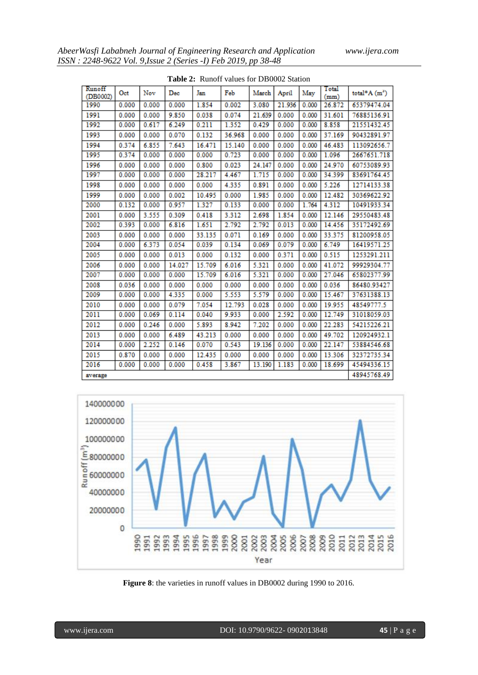| Runoff<br>(DB0002) | Oct   | Nov   | Dec    | Jan    | Feb    | March  | April  | May   | Total<br>(mm) | total* $A(m^3)$ |
|--------------------|-------|-------|--------|--------|--------|--------|--------|-------|---------------|-----------------|
| 1990               | 0.000 | 0.000 | 0.000  | 1.854  | 0.002  | 3.080  | 21.936 | 0.000 | 26.872        | 65379474.04     |
| 1991               | 0.000 | 0.000 | 9.850  | 0.038  | 0.074  | 21.639 | 0.000  | 0.000 | 31.601        | 76885136.91     |
| 1992               | 0.000 | 0.617 | 6.249  | 0.211  | 1.352  | 0.429  | 0.000  | 0.000 | 8.858         | 21551432.45     |
| 1993               | 0.000 | 0.000 | 0.070  | 0.132  | 36.968 | 0.000  | 0.000  | 0.000 | 37.169        | 90432891.97     |
| 1994               | 0.374 | 6.855 | 7.643  | 16.471 | 15.140 | 0.000  | 0.000  | 0.000 | 46.483        | 113092656.7     |
| 1995               | 0.374 | 0.000 | 0.000  | 0.000  | 0.723  | 0.000  | 0.000  | 0.000 | 1.096         | 2667651.718     |
| 1996               | 0.000 | 0.000 | 0.000  | 0.800  | 0.023  | 24.147 | 0.000  | 0.000 | 24.970        | 60753089.93     |
| 1997               | 0.000 | 0.000 | 0.000  | 28.217 | 4.467  | 1.715  | 0.000  | 0.000 | 34.399        | 83691764.45     |
| 1998               | 0.000 | 0.000 | 0.000  | 0.000  | 4.335  | 0.891  | 0.000  | 0.000 | 5.226         | 12714133.38     |
| 1999               | 0.000 | 0.000 | 0.002  | 10.495 | 0.000  | 1.985  | 0.000  | 0.000 | 12.482        | 30369622.92     |
| 2000               | 0.132 | 0.000 | 0.957  | 1.327  | 0.133  | 0.000  | 0.000  | 1.764 | 4.312         | 10491933.34     |
| 2001               | 0.000 | 3.555 | 0.309  | 0.418  | 3.312  | 2.698  | 1.854  | 0.000 | 12.146        | 29550483.48     |
| 2002               | 0.393 | 0.000 | 6.816  | 1.651  | 2.792  | 2.792  | 0.013  | 0.000 | 14.456        | 35172492.69     |
| 2003               | 0.000 | 0.000 | 0.000  | 33.135 | 0.071  | 0.169  | 0.000  | 0.000 | 33.375        | 81200958.05     |
| 2004               | 0.000 | 6.373 | 0.054  | 0.039  | 0.134  | 0.069  | 0.079  | 0.000 | 6.749         | 16419571.25     |
| 2005               | 0.000 | 0.000 | 0.013  | 0.000  | 0.132  | 0.000  | 0.371  | 0.000 | 0.515         | 1253291.211     |
| 2006               | 0.000 | 0.000 | 14.027 | 15.709 | 6.016  | 5.321  | 0.000  | 0.000 | 41.072        | 99929304.77     |
| 2007               | 0.000 | 0.000 | 0.000  | 15.709 | 6.016  | 5.321  | 0.000  | 0.000 | 27.046        | 65802377.99     |
| 2008               | 0.036 | 0.000 | 0.000  | 0.000  | 0.000  | 0.000  | 0.000  | 0.000 | 0.036         | 86480.93427     |
| 2009               | 0.000 | 0.000 | 4.335  | 0.000  | 5.553  | 5.579  | 0.000  | 0.000 | 15.467        | 37631388.13     |
| 2010               | 0.000 | 0.000 | 0.079  | 7.054  | 12.793 | 0.028  | 0.000  | 0.000 | 19.955        | 48549777.5      |
| 2011               | 0.000 | 0.069 | 0.114  | 0.040  | 9.933  | 0.000  | 2.592  | 0.000 | 12.749        | 31018059.03     |
| 2012               | 0.000 | 0.246 | 0.000  | 5.893  | 8.942  | 7.202  | 0.000  | 0.000 | 22.283        | 54215226.21     |
| 2013               | 0.000 | 0.000 | 6.489  | 43.213 | 0.000  | 0.000  | 0.000  | 0.000 | 49.702        | 120924932.1     |
| 2014               | 0.000 | 2.252 | 0.146  | 0.070  | 0.543  | 19.136 | 0.000  | 0.000 | 22.147        | 53884546.68     |
| 2015               | 0.870 | 0.000 | 0.000  | 12.435 | 0.000  | 0.000  | 0.000  | 0.000 | 13.306        | 32372735.34     |
| 2016               | 0.000 | 0.000 | 0.000  | 0.458  | 3.867  | 13.190 | 1.183  | 0.000 | 18.699        | 45494336.15     |
| average            |       |       |        |        |        |        |        |       |               | 48945768.49     |

**Table 2:** Runoff values for DB0002 Station



**Figure 8**: the varieties in runoff values in DB0002 during 1990 to 2016.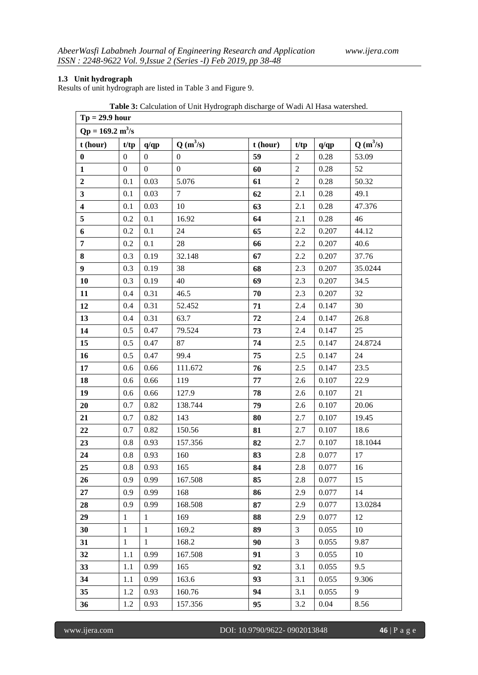## **1.3 Unit hydrograph**

Results of unit hydrograph are listed in Table 3 and Figure 9.

| <b>rasic s'i</b> calculation of only regraph discharge of waar in riasa watershed.<br>$Tp = 29.9$ hour |                  |                  |                  |          |                |       |            |
|--------------------------------------------------------------------------------------------------------|------------------|------------------|------------------|----------|----------------|-------|------------|
| $Qp = 169.2 \text{ m}^3/\text{s}$                                                                      |                  |                  |                  |          |                |       |            |
| t (hour)                                                                                               | t/tp             | q/qp             | $Q(m^3/s)$       | t (hour) | t/tp           | q/qp  | $Q(m^3/s)$ |
| $\pmb{0}$                                                                                              | $\boldsymbol{0}$ | $\boldsymbol{0}$ | $\boldsymbol{0}$ | 59       | $\sqrt{2}$     | 0.28  | 53.09      |
| $\mathbf{1}$                                                                                           | $\overline{0}$   | $\boldsymbol{0}$ | $\boldsymbol{0}$ | 60       | $\overline{2}$ | 0.28  | 52         |
| $\boldsymbol{2}$                                                                                       | 0.1              | 0.03             | 5.076            | 61       | $\sqrt{2}$     | 0.28  | 50.32      |
| $\mathbf{3}$                                                                                           | 0.1              | 0.03             | $\tau$           | 62       | 2.1            | 0.28  | 49.1       |
| $\overline{\mathbf{4}}$                                                                                | 0.1              | 0.03             | 10               | 63       | 2.1            | 0.28  | 47.376     |
| 5                                                                                                      | $0.2\,$          | 0.1              | 16.92            | 64       | 2.1            | 0.28  | 46         |
| 6                                                                                                      | 0.2              | 0.1              | 24               | 65       | 2.2            | 0.207 | 44.12      |
| $\overline{7}$                                                                                         | 0.2              | 0.1              | 28               | 66       | 2.2            | 0.207 | 40.6       |
| 8                                                                                                      | 0.3              | 0.19             | 32.148           | 67       | 2.2            | 0.207 | 37.76      |
| $\boldsymbol{9}$                                                                                       | 0.3              | 0.19             | 38               | 68       | 2.3            | 0.207 | 35.0244    |
| 10                                                                                                     | 0.3              | 0.19             | 40               | 69       | 2.3            | 0.207 | 34.5       |
| 11                                                                                                     | 0.4              | 0.31             | 46.5             | 70       | 2.3            | 0.207 | 32         |
| 12                                                                                                     | 0.4              | 0.31             | 52.452           | 71       | 2.4            | 0.147 | 30         |
| 13                                                                                                     | 0.4              | 0.31             | 63.7             | 72       | 2.4            | 0.147 | 26.8       |
| 14                                                                                                     | 0.5              | 0.47             | 79.524           | 73       | 2.4            | 0.147 | $25\,$     |
| 15                                                                                                     | 0.5              | 0.47             | 87               | 74       | 2.5            | 0.147 | 24.8724    |
| 16                                                                                                     | 0.5              | 0.47             | 99.4             | 75       | 2.5            | 0.147 | 24         |
| 17                                                                                                     | 0.6              | 0.66             | 111.672          | 76       | 2.5            | 0.147 | 23.5       |
| 18                                                                                                     | 0.6              | 0.66             | 119              | 77       | 2.6            | 0.107 | 22.9       |
| 19                                                                                                     | 0.6              | 0.66             | 127.9            | 78       | 2.6            | 0.107 | 21         |
| 20                                                                                                     | 0.7              | 0.82             | 138.744          | 79       | 2.6            | 0.107 | 20.06      |
| 21                                                                                                     | 0.7              | 0.82             | 143              | 80       | 2.7            | 0.107 | 19.45      |
| 22                                                                                                     | 0.7              | 0.82             | 150.56           | 81       | 2.7            | 0.107 | 18.6       |
| 23                                                                                                     | 0.8              | 0.93             | 157.356          | 82       | 2.7            | 0.107 | 18.1044    |
| 24                                                                                                     | 0.8              | 0.93             | 160              | 83       | 2.8            | 0.077 | 17         |
| 25                                                                                                     | $0.8\,$          | 0.93             | 165              | 84       | $2.8\,$        | 0.077 | 16         |
| 26                                                                                                     | 0.9              | 0.99             | 167.508          | 85       | 2.8            | 0.077 | 15         |
| 27                                                                                                     | 0.9              | 0.99             | 168              | 86       | 2.9            | 0.077 | 14         |
| 28                                                                                                     | 0.9              | 0.99             | 168.508          | 87       | 2.9            | 0.077 | 13.0284    |
| 29                                                                                                     | $\mathbf{1}$     | $\mathbf{1}$     | 169              | 88       | 2.9            | 0.077 | 12         |
| 30                                                                                                     | $\mathbf{1}$     | $\mathbf{1}$     | 169.2            | 89       | $\mathfrak{Z}$ | 0.055 | 10         |
| 31                                                                                                     | $\mathbf{1}$     | $\mathbf{1}$     | 168.2            | 90       | $\overline{3}$ | 0.055 | 9.87       |
| 32                                                                                                     | 1.1              | 0.99             | 167.508          | 91       | 3              | 0.055 | 10         |
| 33                                                                                                     | 1.1              | 0.99             | 165              | 92       | 3.1            | 0.055 | 9.5        |
| 34                                                                                                     | 1.1              | 0.99             | 163.6            | 93       | 3.1            | 0.055 | 9.306      |
| 35                                                                                                     | 1.2              | 0.93             | 160.76           | 94       | 3.1            | 0.055 | 9          |
| 36                                                                                                     | 1.2              | 0.93             | 157.356          | 95       | 3.2            | 0.04  | 8.56       |

**Table 3:** Calculation of Unit Hydrograph discharge of Wadi Al Hasa watershed.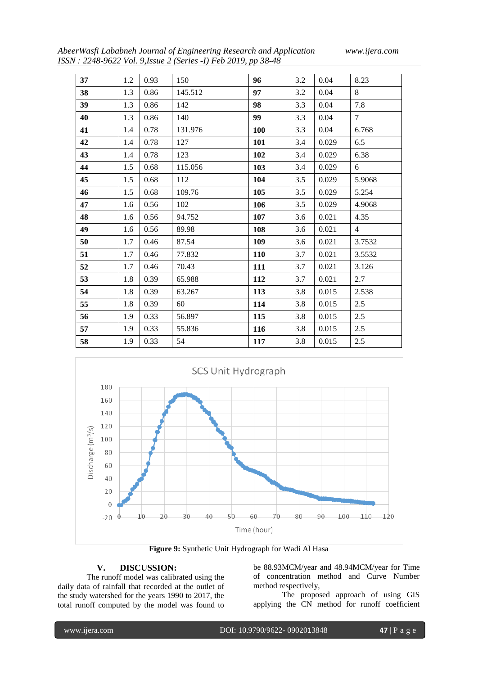*AbeerWasfi Lababneh Journal of Engineering Research and Application www.ijera.com ISSN : 2248-9622 Vol. 9,Issue 2 (Series -I) Feb 2019, pp 38-48*

| 37 | 1.2 | 0.93 | 150     | 96         | 3.2 | 0.04  | 8.23            |
|----|-----|------|---------|------------|-----|-------|-----------------|
| 38 | 1.3 | 0.86 | 145.512 | 97         | 3.2 | 0.04  | 8               |
| 39 | 1.3 | 0.86 | 142     | 98         | 3.3 | 0.04  | 7.8             |
| 40 | 1.3 | 0.86 | 140     | 99         | 3.3 | 0.04  | $7\overline{ }$ |
| 41 | 1.4 | 0.78 | 131.976 | 100        | 3.3 | 0.04  | 6.768           |
| 42 | 1.4 | 0.78 | 127     | 101        | 3.4 | 0.029 | 6.5             |
| 43 | 1.4 | 0.78 | 123     | 102        | 3.4 | 0.029 | 6.38            |
| 44 | 1.5 | 0.68 | 115.056 | 103        | 3.4 | 0.029 | 6               |
| 45 | 1.5 | 0.68 | 112     | 104        | 3.5 | 0.029 | 5.9068          |
| 46 | 1.5 | 0.68 | 109.76  | 105        | 3.5 | 0.029 | 5.254           |
| 47 | 1.6 | 0.56 | 102     | 106        | 3.5 | 0.029 | 4.9068          |
| 48 | 1.6 | 0.56 | 94.752  | 107        | 3.6 | 0.021 | 4.35            |
| 49 | 1.6 | 0.56 | 89.98   | 108        | 3.6 | 0.021 | $\overline{4}$  |
| 50 | 1.7 | 0.46 | 87.54   | 109        | 3.6 | 0.021 | 3.7532          |
| 51 | 1.7 | 0.46 | 77.832  | <b>110</b> | 3.7 | 0.021 | 3.5532          |
| 52 | 1.7 | 0.46 | 70.43   | 111        | 3.7 | 0.021 | 3.126           |
| 53 | 1.8 | 0.39 | 65.988  | 112        | 3.7 | 0.021 | 2.7             |
| 54 | 1.8 | 0.39 | 63.267  | 113        | 3.8 | 0.015 | 2.538           |
| 55 | 1.8 | 0.39 | 60      | 114        | 3.8 | 0.015 | 2.5             |
| 56 | 1.9 | 0.33 | 56.897  | 115        | 3.8 | 0.015 | 2.5             |
| 57 | 1.9 | 0.33 | 55.836  | 116        | 3.8 | 0.015 | 2.5             |
| 58 | 1.9 | 0.33 | 54      | 117        | 3.8 | 0.015 | 2.5             |



**Figure 9:** Synthetic Unit Hydrograph for Wadi Al Hasa

# **V. DISCUSSION:**

The runoff model was calibrated using the daily data of rainfall that recorded at the outlet of the study watershed for the years 1990 to 2017, the total runoff computed by the model was found to

be 88.93MCM/year and 48.94MCM/year for Time of concentration method and Curve Number method respectively,

The proposed approach of using GIS applying the CN method for runoff coefficient